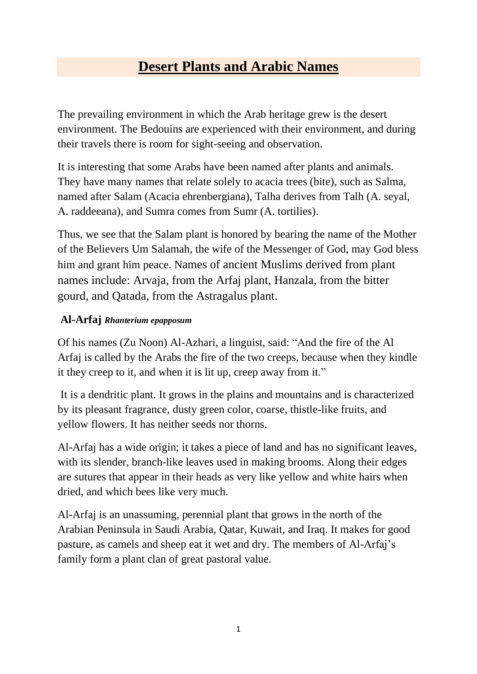# **Desert Plants and Arabic Names**

The prevailing environment in which the Arab heritage grew is the desert environment. The Bedouins are experienced with their environment, and during their travels there is room for sight-seeing and observation.

It is interesting that some Arabs have been named after plants and animals. They have many names that relate solely to acacia trees (bite), such as Salma, named after Salam (Acacia ehrenbergiana), Talha derives from Talh (A. seyal, A. raddeeana), and Sumra comes from Sumr (A. tortilies).

Thus, we see that the Salam plant is honored by bearing the name of the Mother of the Believers Um Salamah, the wife of the Messenger of God, may God bless him and grant him peace. Names of ancient Muslims derived from plant names include: Arvaja, from the Arfaj plant, Hanzala, from the bitter gourd, and Qatada, from the Astragalus plant.

#### **Al-Arfaj** *Rhanterium epapposum*

Of his names (Zu Noon) Al-Azhari, a linguist, said: "And the fire of the Al Arfaj is called by the Arabs the fire of the two creeps, because when they kindle it they creep to it, and when it is lit up, creep away from it."

It is a dendritic plant. It grows in the plains and mountains and is characterized by its pleasant fragrance, dusty green color, coarse, thistle-like fruits, and yellow flowers. It has neither seeds nor thorns.

Al-Arfaj has a wide origin; it takes a piece of land and has no significant leaves, with its slender, branch-like leaves used in making brooms. Along their edges are sutures that appear in their heads as very like yellow and white hairs when dried, and which bees like very much.

Al-Arfaj is an unassuming, perennial plant that grows in the north of the Arabian Peninsula in Saudi Arabia, Qatar, Kuwait, and Iraq. It makes for good pasture, as camels and sheep eat it wet and dry. The members of Al-Arfaj's family form a plant clan of great pastoral value.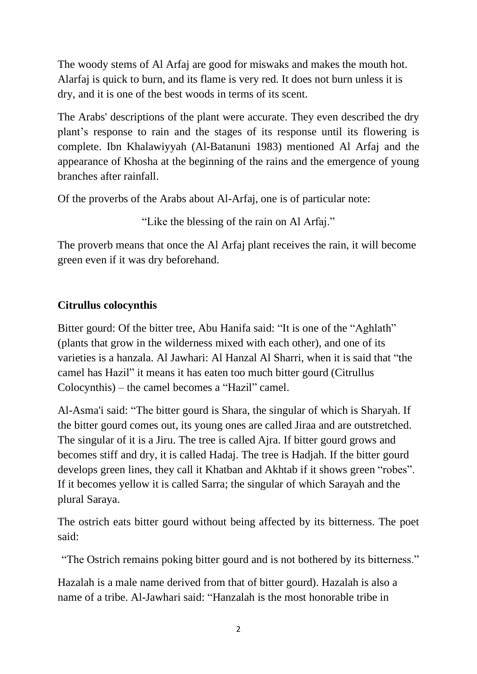The woody stems of Al Arfaj are good for miswaks and makes the mouth hot. Alarfaj is quick to burn, and its flame is very red. It does not burn unless it is dry, and it is one of the best woods in terms of its scent.

The Arabs' descriptions of the plant were accurate. They even described the dry plant's response to rain and the stages of its response until its flowering is complete. Ibn Khalawiyyah (Al-Batanuni 1983) mentioned Al Arfaj and the appearance of Khosha at the beginning of the rains and the emergence of young branches after rainfall.

Of the proverbs of the Arabs about Al-Arfaj, one is of particular note:

"Like the blessing of the rain on Al Arfaj."

The proverb means that once the Al Arfaj plant receives the rain, it will become green even if it was dry beforehand.

### **Citrullus colocynthis**

Bitter gourd: Of the bitter tree, Abu Hanifa said: "It is one of the "Aghlath" (plants that grow in the wilderness mixed with each other), and one of its varieties is a hanzala. Al Jawhari: Al Hanzal Al Sharri, when it is said that "the camel has Hazil" it means it has eaten too much bitter gourd (Citrullus Colocynthis) – the camel becomes a "Hazil" camel.

Al-Asma'i said: "The bitter gourd is Shara, the singular of which is Sharyah. If the bitter gourd comes out, its young ones are called Jiraa and are outstretched. The singular of it is a Jiru. The tree is called Ajra. If bitter gourd grows and becomes stiff and dry, it is called Hadaj. The tree is Hadjah. If the bitter gourd develops green lines, they call it Khatban and Akhtab if it shows green "robes". If it becomes yellow it is called Sarra; the singular of which Sarayah and the plural Saraya.

The ostrich eats bitter gourd without being affected by its bitterness. The poet said:

"The Ostrich remains poking bitter gourd and is not bothered by its bitterness."

Hazalah is a male name derived from that of bitter gourd). Hazalah is also a name of a tribe. Al-Jawhari said: "Hanzalah is the most honorable tribe in